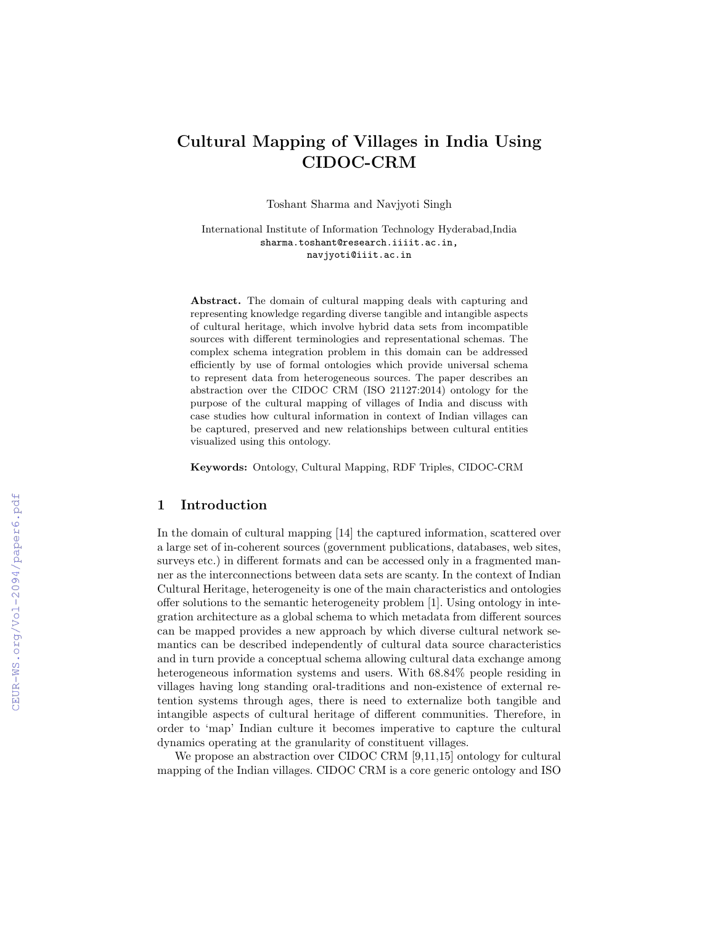# Cultural Mapping of Villages in India Using CIDOC-CRM

Toshant Sharma and Navjyoti Singh

International Institute of Information Technology Hyderabad,India sharma.toshant@research.iiiit.ac.in, navjyoti@iiit.ac.in

Abstract. The domain of cultural mapping deals with capturing and representing knowledge regarding diverse tangible and intangible aspects of cultural heritage, which involve hybrid data sets from incompatible sources with different terminologies and representational schemas. The complex schema integration problem in this domain can be addressed efficiently by use of formal ontologies which provide universal schema to represent data from heterogeneous sources. The paper describes an abstraction over the CIDOC CRM (ISO 21127:2014) ontology for the purpose of the cultural mapping of villages of India and discuss with case studies how cultural information in context of Indian villages can be captured, preserved and new relationships between cultural entities visualized using this ontology.

Keywords: Ontology, Cultural Mapping, RDF Triples, CIDOC-CRM

#### 1 Introduction

In the domain of cultural mapping [14] the captured information, scattered over a large set of in-coherent sources (government publications, databases, web sites, surveys etc.) in different formats and can be accessed only in a fragmented manner as the interconnections between data sets are scanty. In the context of Indian Cultural Heritage, heterogeneity is one of the main characteristics and ontologies offer solutions to the semantic heterogeneity problem [1]. Using ontology in integration architecture as a global schema to which metadata from different sources can be mapped provides a new approach by which diverse cultural network semantics can be described independently of cultural data source characteristics and in turn provide a conceptual schema allowing cultural data exchange among heterogeneous information systems and users. With 68.84% people residing in villages having long standing oral-traditions and non-existence of external retention systems through ages, there is need to externalize both tangible and intangible aspects of cultural heritage of different communities. Therefore, in order to 'map' Indian culture it becomes imperative to capture the cultural dynamics operating at the granularity of constituent villages.

We propose an abstraction over CIDOC CRM [9,11,15] ontology for cultural mapping of the Indian villages. CIDOC CRM is a core generic ontology and ISO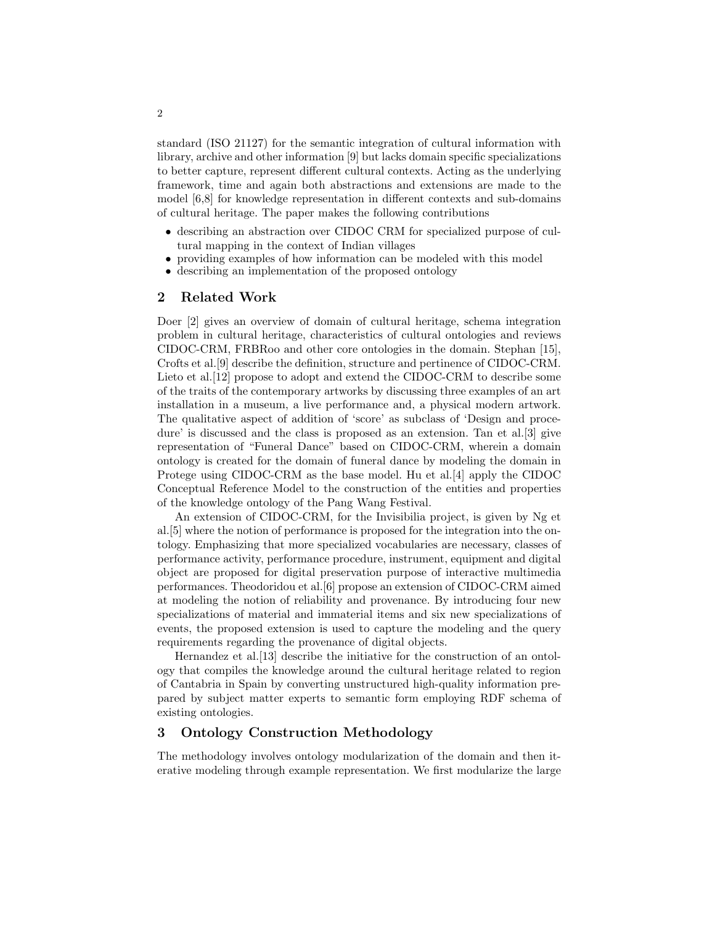standard (ISO 21127) for the semantic integration of cultural information with library, archive and other information [9] but lacks domain specific specializations to better capture, represent different cultural contexts. Acting as the underlying framework, time and again both abstractions and extensions are made to the model [6,8] for knowledge representation in different contexts and sub-domains of cultural heritage. The paper makes the following contributions

- describing an abstraction over CIDOC CRM for specialized purpose of cultural mapping in the context of Indian villages
- providing examples of how information can be modeled with this model
- describing an implementation of the proposed ontology

# 2 Related Work

Doer [2] gives an overview of domain of cultural heritage, schema integration problem in cultural heritage, characteristics of cultural ontologies and reviews CIDOC-CRM, FRBRoo and other core ontologies in the domain. Stephan [15], Crofts et al.[9] describe the definition, structure and pertinence of CIDOC-CRM. Lieto et al. [12] propose to adopt and extend the CIDOC-CRM to describe some of the traits of the contemporary artworks by discussing three examples of an art installation in a museum, a live performance and, a physical modern artwork. The qualitative aspect of addition of 'score' as subclass of 'Design and procedure' is discussed and the class is proposed as an extension. Tan et al.[3] give representation of "Funeral Dance" based on CIDOC-CRM, wherein a domain ontology is created for the domain of funeral dance by modeling the domain in Protege using CIDOC-CRM as the base model. Hu et al.[4] apply the CIDOC Conceptual Reference Model to the construction of the entities and properties of the knowledge ontology of the Pang Wang Festival.

An extension of CIDOC-CRM, for the Invisibilia project, is given by Ng et al.[5] where the notion of performance is proposed for the integration into the ontology. Emphasizing that more specialized vocabularies are necessary, classes of performance activity, performance procedure, instrument, equipment and digital object are proposed for digital preservation purpose of interactive multimedia performances. Theodoridou et al.[6] propose an extension of CIDOC-CRM aimed at modeling the notion of reliability and provenance. By introducing four new specializations of material and immaterial items and six new specializations of events, the proposed extension is used to capture the modeling and the query requirements regarding the provenance of digital objects.

Hernandez et al.[13] describe the initiative for the construction of an ontology that compiles the knowledge around the cultural heritage related to region of Cantabria in Spain by converting unstructured high-quality information prepared by subject matter experts to semantic form employing RDF schema of existing ontologies.

# 3 Ontology Construction Methodology

The methodology involves ontology modularization of the domain and then iterative modeling through example representation. We first modularize the large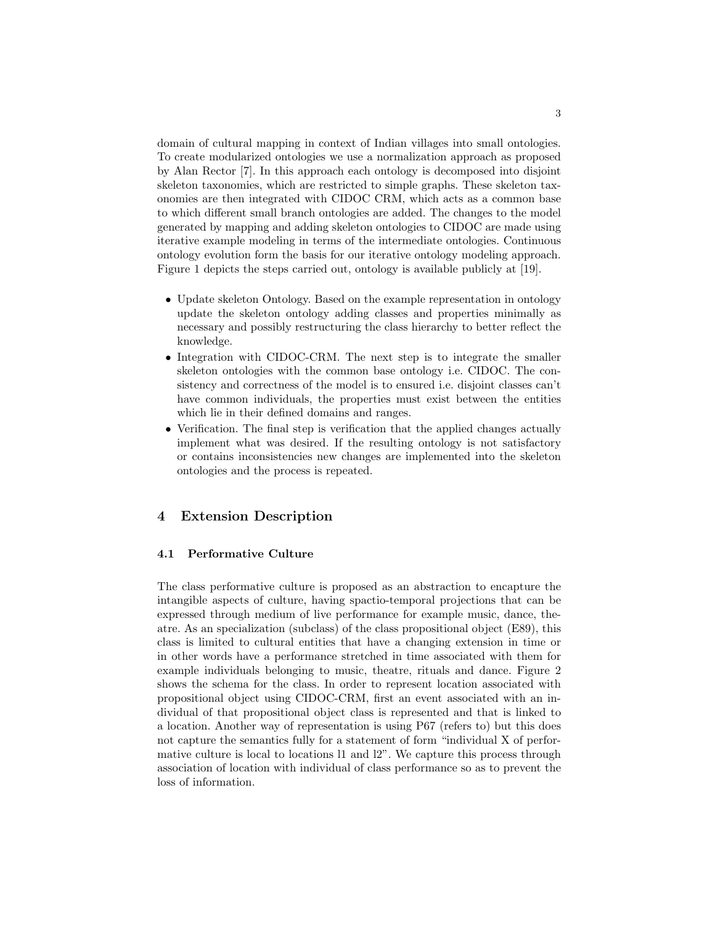domain of cultural mapping in context of Indian villages into small ontologies. To create modularized ontologies we use a normalization approach as proposed by Alan Rector [7]. In this approach each ontology is decomposed into disjoint skeleton taxonomies, which are restricted to simple graphs. These skeleton taxonomies are then integrated with CIDOC CRM, which acts as a common base to which different small branch ontologies are added. The changes to the model generated by mapping and adding skeleton ontologies to CIDOC are made using iterative example modeling in terms of the intermediate ontologies. Continuous ontology evolution form the basis for our iterative ontology modeling approach. Figure 1 depicts the steps carried out, ontology is available publicly at [19].

- Update skeleton Ontology. Based on the example representation in ontology update the skeleton ontology adding classes and properties minimally as necessary and possibly restructuring the class hierarchy to better reflect the knowledge.
- Integration with CIDOC-CRM. The next step is to integrate the smaller skeleton ontologies with the common base ontology i.e. CIDOC. The consistency and correctness of the model is to ensured i.e. disjoint classes can't have common individuals, the properties must exist between the entities which lie in their defined domains and ranges.
- Verification. The final step is verification that the applied changes actually implement what was desired. If the resulting ontology is not satisfactory or contains inconsistencies new changes are implemented into the skeleton ontologies and the process is repeated.

# 4 Extension Description

#### 4.1 Performative Culture

The class performative culture is proposed as an abstraction to encapture the intangible aspects of culture, having spactio-temporal projections that can be expressed through medium of live performance for example music, dance, theatre. As an specialization (subclass) of the class propositional object (E89), this class is limited to cultural entities that have a changing extension in time or in other words have a performance stretched in time associated with them for example individuals belonging to music, theatre, rituals and dance. Figure 2 shows the schema for the class. In order to represent location associated with propositional object using CIDOC-CRM, first an event associated with an individual of that propositional object class is represented and that is linked to a location. Another way of representation is using P67 (refers to) but this does not capture the semantics fully for a statement of form "individual X of performative culture is local to locations l1 and l2". We capture this process through association of location with individual of class performance so as to prevent the loss of information.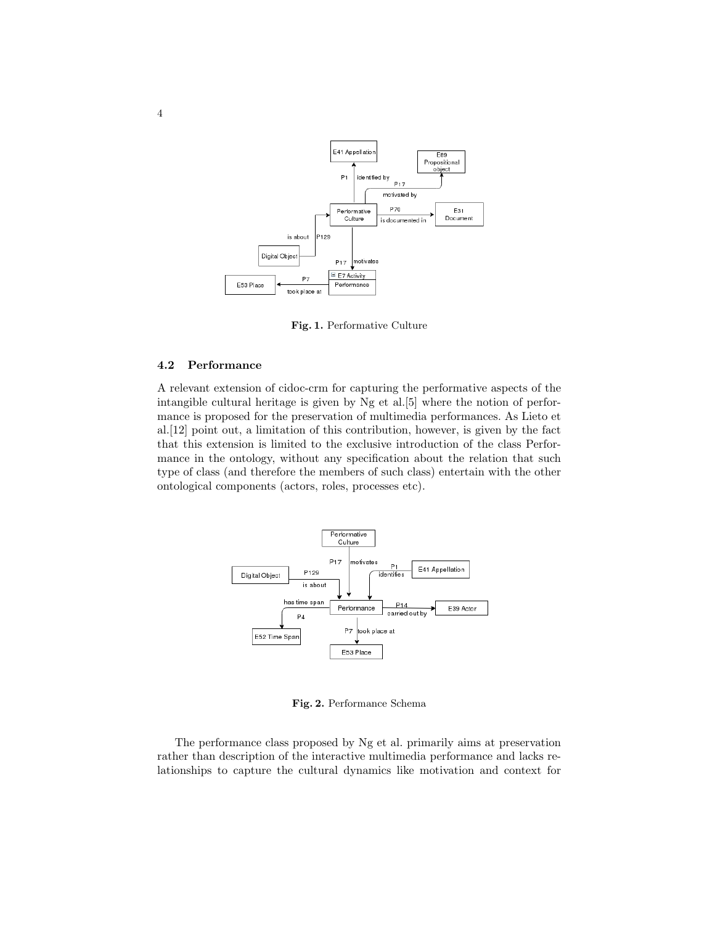

Fig. 1. Performative Culture

#### 4.2 Performance

A relevant extension of cidoc-crm for capturing the performative aspects of the intangible cultural heritage is given by Ng et al.[5] where the notion of performance is proposed for the preservation of multimedia performances. As Lieto et al.[12] point out, a limitation of this contribution, however, is given by the fact that this extension is limited to the exclusive introduction of the class Performance in the ontology, without any specification about the relation that such type of class (and therefore the members of such class) entertain with the other ontological components (actors, roles, processes etc).



Fig. 2. Performance Schema

The performance class proposed by Ng et al. primarily aims at preservation rather than description of the interactive multimedia performance and lacks relationships to capture the cultural dynamics like motivation and context for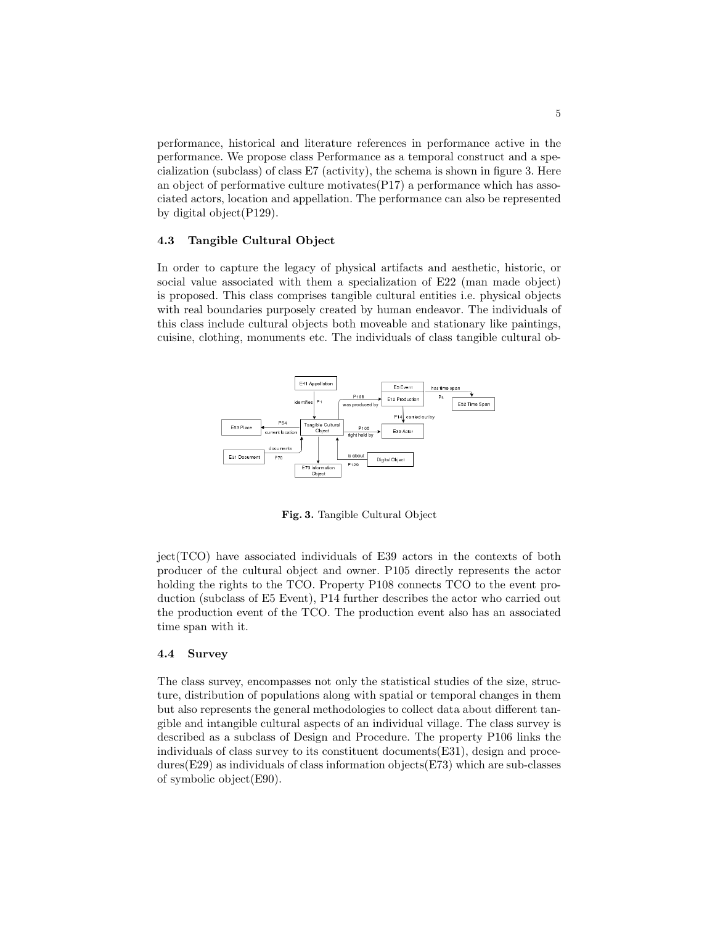performance, historical and literature references in performance active in the performance. We propose class Performance as a temporal construct and a specialization (subclass) of class E7 (activity), the schema is shown in figure 3. Here an object of performative culture motivates(P17) a performance which has associated actors, location and appellation. The performance can also be represented by digital object(P129).

#### 4.3 Tangible Cultural Object

In order to capture the legacy of physical artifacts and aesthetic, historic, or social value associated with them a specialization of E22 (man made object) is proposed. This class comprises tangible cultural entities i.e. physical objects with real boundaries purposely created by human endeavor. The individuals of this class include cultural objects both moveable and stationary like paintings, cuisine, clothing, monuments etc. The individuals of class tangible cultural ob-



Fig. 3. Tangible Cultural Object

ject(TCO) have associated individuals of E39 actors in the contexts of both producer of the cultural object and owner. P105 directly represents the actor holding the rights to the TCO. Property P108 connects TCO to the event production (subclass of E5 Event), P14 further describes the actor who carried out the production event of the TCO. The production event also has an associated time span with it.

#### 4.4 Survey

The class survey, encompasses not only the statistical studies of the size, structure, distribution of populations along with spatial or temporal changes in them but also represents the general methodologies to collect data about different tangible and intangible cultural aspects of an individual village. The class survey is described as a subclass of Design and Procedure. The property P106 links the individuals of class survey to its constituent documents(E31), design and procedures(E29) as individuals of class information objects(E73) which are sub-classes of symbolic object(E90).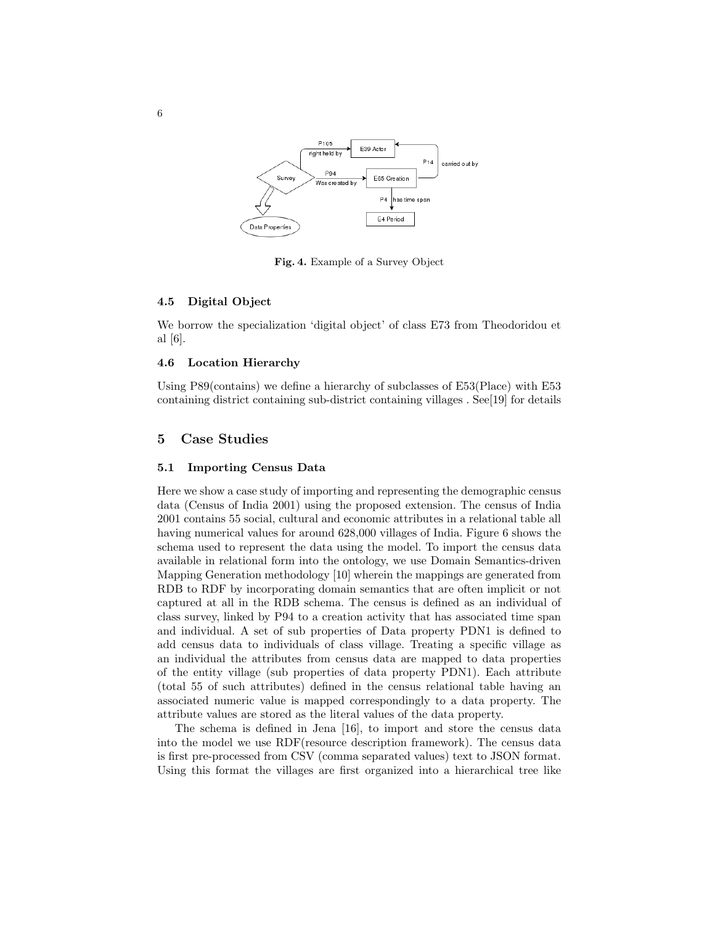

Fig. 4. Example of a Survey Object

#### 4.5 Digital Object

We borrow the specialization 'digital object' of class E73 from Theodoridou et al [6].

#### 4.6 Location Hierarchy

Using P89(contains) we define a hierarchy of subclasses of E53(Place) with E53 containing district containing sub-district containing villages . See[19] for details

## 5 Case Studies

#### 5.1 Importing Census Data

Here we show a case study of importing and representing the demographic census data (Census of India 2001) using the proposed extension. The census of India 2001 contains 55 social, cultural and economic attributes in a relational table all having numerical values for around 628,000 villages of India. Figure 6 shows the schema used to represent the data using the model. To import the census data available in relational form into the ontology, we use Domain Semantics-driven Mapping Generation methodology [10] wherein the mappings are generated from RDB to RDF by incorporating domain semantics that are often implicit or not captured at all in the RDB schema. The census is defined as an individual of class survey, linked by P94 to a creation activity that has associated time span and individual. A set of sub properties of Data property PDN1 is defined to add census data to individuals of class village. Treating a specific village as an individual the attributes from census data are mapped to data properties of the entity village (sub properties of data property PDN1). Each attribute (total 55 of such attributes) defined in the census relational table having an associated numeric value is mapped correspondingly to a data property. The attribute values are stored as the literal values of the data property.

The schema is defined in Jena [16], to import and store the census data into the model we use RDF(resource description framework). The census data is first pre-processed from CSV (comma separated values) text to JSON format. Using this format the villages are first organized into a hierarchical tree like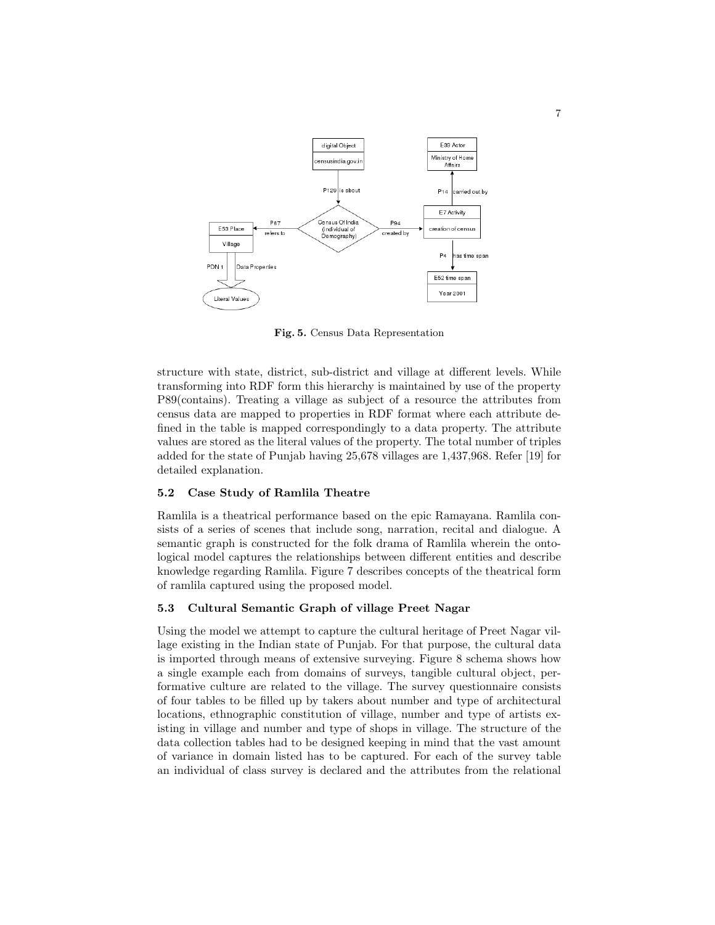

Fig. 5. Census Data Representation

structure with state, district, sub-district and village at different levels. While transforming into RDF form this hierarchy is maintained by use of the property P89(contains). Treating a village as subject of a resource the attributes from census data are mapped to properties in RDF format where each attribute defined in the table is mapped correspondingly to a data property. The attribute values are stored as the literal values of the property. The total number of triples added for the state of Punjab having 25,678 villages are 1,437,968. Refer [19] for detailed explanation.

#### 5.2 Case Study of Ramlila Theatre

Ramlila is a theatrical performance based on the epic Ramayana. Ramlila consists of a series of scenes that include song, narration, recital and dialogue. A semantic graph is constructed for the folk drama of Ramlila wherein the ontological model captures the relationships between different entities and describe knowledge regarding Ramlila. Figure 7 describes concepts of the theatrical form of ramlila captured using the proposed model.

#### 5.3 Cultural Semantic Graph of village Preet Nagar

Using the model we attempt to capture the cultural heritage of Preet Nagar village existing in the Indian state of Punjab. For that purpose, the cultural data is imported through means of extensive surveying. Figure 8 schema shows how a single example each from domains of surveys, tangible cultural object, performative culture are related to the village. The survey questionnaire consists of four tables to be filled up by takers about number and type of architectural locations, ethnographic constitution of village, number and type of artists existing in village and number and type of shops in village. The structure of the data collection tables had to be designed keeping in mind that the vast amount of variance in domain listed has to be captured. For each of the survey table an individual of class survey is declared and the attributes from the relational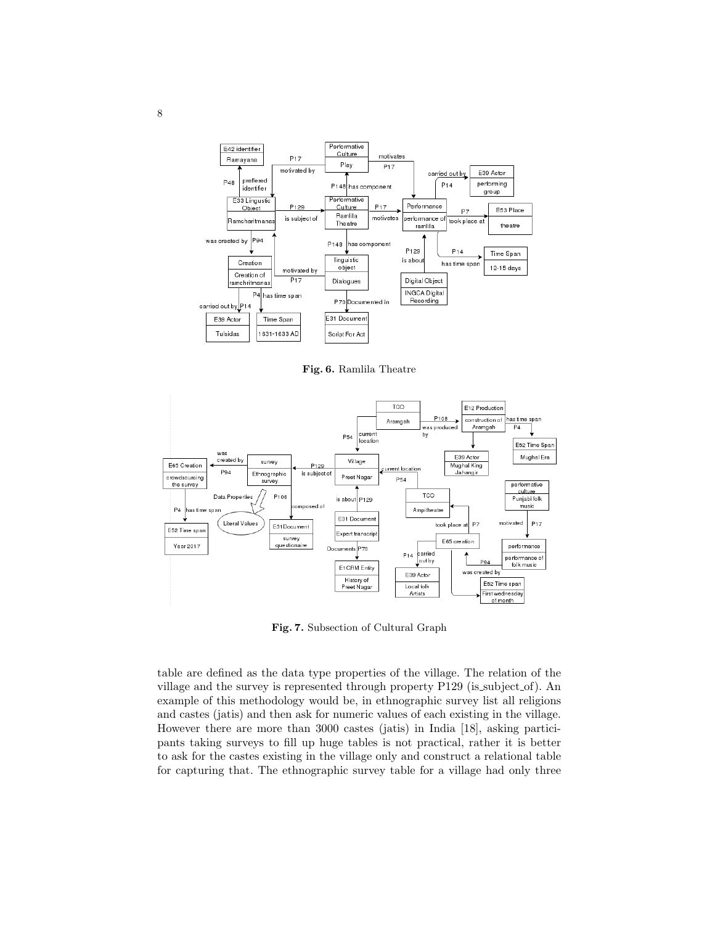

Fig. 6. Ramlila Theatre



Fig. 7. Subsection of Cultural Graph

table are defined as the data type properties of the village. The relation of the village and the survey is represented through property P129 (is subject of). An example of this methodology would be, in ethnographic survey list all religions and castes (jatis) and then ask for numeric values of each existing in the village. However there are more than 3000 castes (jatis) in India [18], asking participants taking surveys to fill up huge tables is not practical, rather it is better to ask for the castes existing in the village only and construct a relational table for capturing that. The ethnographic survey table for a village had only three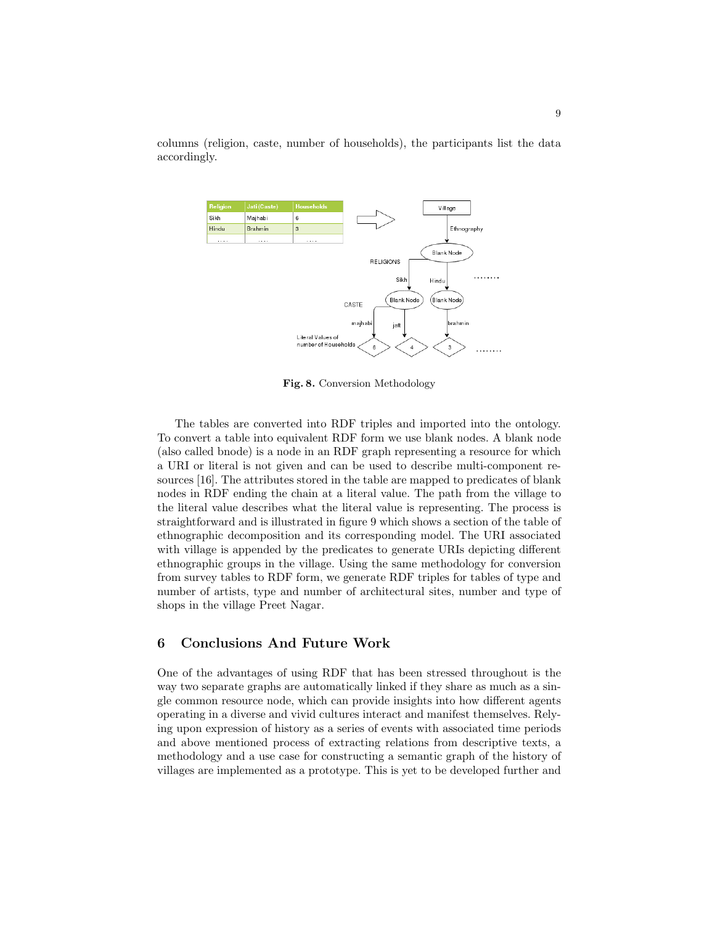



Fig. 8. Conversion Methodology

The tables are converted into RDF triples and imported into the ontology. To convert a table into equivalent RDF form we use blank nodes. A blank node (also called bnode) is a node in an RDF graph representing a resource for which a URI or literal is not given and can be used to describe multi-component resources [16]. The attributes stored in the table are mapped to predicates of blank nodes in RDF ending the chain at a literal value. The path from the village to the literal value describes what the literal value is representing. The process is straightforward and is illustrated in figure 9 which shows a section of the table of ethnographic decomposition and its corresponding model. The URI associated with village is appended by the predicates to generate URIs depicting different ethnographic groups in the village. Using the same methodology for conversion from survey tables to RDF form, we generate RDF triples for tables of type and number of artists, type and number of architectural sites, number and type of shops in the village Preet Nagar.

# 6 Conclusions And Future Work

One of the advantages of using RDF that has been stressed throughout is the way two separate graphs are automatically linked if they share as much as a single common resource node, which can provide insights into how different agents operating in a diverse and vivid cultures interact and manifest themselves. Relying upon expression of history as a series of events with associated time periods and above mentioned process of extracting relations from descriptive texts, a methodology and a use case for constructing a semantic graph of the history of villages are implemented as a prototype. This is yet to be developed further and